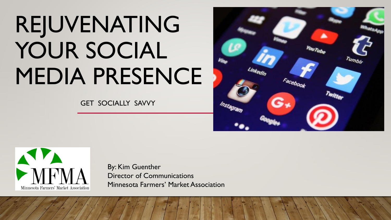# REJUVENATING YOUR SOCIAL MEDIA PRESENCE

GET SOCIALLY SAVVY





By: Kim Guenther Director of Communications Minnesota Farmers' Market Association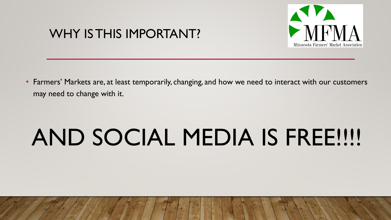## WHY IS THIS IMPORTANT?



• Farmers' Markets are, at least temporarily, changing, and how we need to interact with our customers may need to change with it.

# AND SOCIAL MEDIA IS FREE!!!!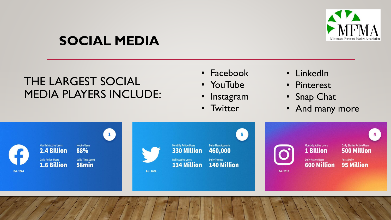

# **SOCIAL MEDIA**

### THE LARGEST SOCIAL MEDIA PLAYERS INCLUDE:

- Facebook
- YouTube
- **Instagram**
- Twitter
- LinkedIn
- Pinterest
- Snap Chat
- And many more

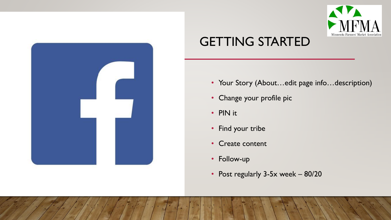



# GETTING STARTED

- Your Story (About...edit page info...description)
- Change your profile pic
- PIN it
- Find your tribe
- Create content
- Follow-up
- Post regularly 3-5x week 80/20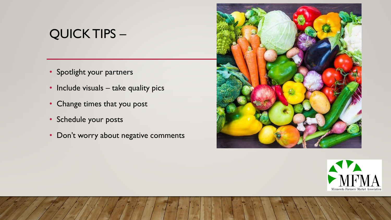## QUICK TIPS –

- Spotlight your partners
- Include visuals take quality pics
- Change times that you post
- Schedule your posts
- Don't worry about negative comments



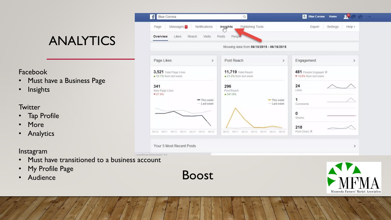# ANALYTICS

#### Facebook

- Must have a Business Page
- Insights

#### **Twitter**

- Tap Profile
- More
- Analytics



#### Instagram

- Must have transitioned to a business account
- My Profile Page
-